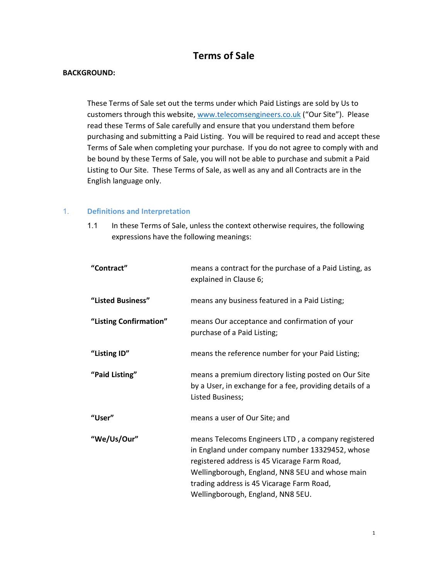# Terms of Sale

#### BACKGROUND:

 These Terms of Sale set out the terms under which Paid Listings are sold by Us to customers through this website, www.telecomsengineers.co.uk ("Our Site"). Please read these Terms of Sale carefully and ensure that you understand them before purchasing and submitting a Paid Listing. You will be required to read and accept these Terms of Sale when completing your purchase. If you do not agree to comply with and be bound by these Terms of Sale, you will not be able to purchase and submit a Paid Listing to Our Site. These Terms of Sale, as well as any and all Contracts are in the English language only.

#### 1. Definitions and Interpretation

1.1 In these Terms of Sale, unless the context otherwise requires, the following expressions have the following meanings:

| "Contract"             | means a contract for the purchase of a Paid Listing, as<br>explained in Clause 6;                                                                                                                                                                                                          |
|------------------------|--------------------------------------------------------------------------------------------------------------------------------------------------------------------------------------------------------------------------------------------------------------------------------------------|
| "Listed Business"      | means any business featured in a Paid Listing;                                                                                                                                                                                                                                             |
| "Listing Confirmation" | means Our acceptance and confirmation of your<br>purchase of a Paid Listing;                                                                                                                                                                                                               |
| "Listing ID"           | means the reference number for your Paid Listing;                                                                                                                                                                                                                                          |
| "Paid Listing"         | means a premium directory listing posted on Our Site<br>by a User, in exchange for a fee, providing details of a<br>Listed Business;                                                                                                                                                       |
| "User"                 | means a user of Our Site; and                                                                                                                                                                                                                                                              |
| "We/Us/Our"            | means Telecoms Engineers LTD, a company registered<br>in England under company number 13329452, whose<br>registered address is 45 Vicarage Farm Road,<br>Wellingborough, England, NN8 5EU and whose main<br>trading address is 45 Vicarage Farm Road,<br>Wellingborough, England, NN8 5EU. |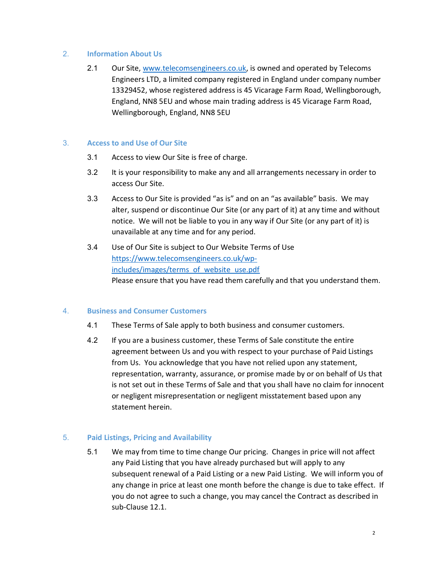#### 2. Information About Us

2.1 Our Site, www.telecomsengineers.co.uk, is owned and operated by Telecoms Engineers LTD, a limited company registered in England under company number 13329452, whose registered address is 45 Vicarage Farm Road, Wellingborough, England, NN8 5EU and whose main trading address is 45 Vicarage Farm Road, Wellingborough, England, NN8 5EU

## 3. Access to and Use of Our Site

- 3.1 Access to view Our Site is free of charge.
- 3.2 It is your responsibility to make any and all arrangements necessary in order to access Our Site.
- 3.3 Access to Our Site is provided "as is" and on an "as available" basis. We may alter, suspend or discontinue Our Site (or any part of it) at any time and without notice. We will not be liable to you in any way if Our Site (or any part of it) is unavailable at any time and for any period.
- 3.4 Use of Our Site is subject to Our Website Terms of Use https://www.telecomsengineers.co.uk/wpincludes/images/terms\_of\_website\_use.pdf Please ensure that you have read them carefully and that you understand them.

#### 4. Business and Consumer Customers

- 4.1 These Terms of Sale apply to both business and consumer customers.
- 4.2 If you are a business customer, these Terms of Sale constitute the entire agreement between Us and you with respect to your purchase of Paid Listings from Us. You acknowledge that you have not relied upon any statement, representation, warranty, assurance, or promise made by or on behalf of Us that is not set out in these Terms of Sale and that you shall have no claim for innocent or negligent misrepresentation or negligent misstatement based upon any statement herein.

# 5. Paid Listings, Pricing and Availability

5.1 We may from time to time change Our pricing. Changes in price will not affect any Paid Listing that you have already purchased but will apply to any subsequent renewal of a Paid Listing or a new Paid Listing. We will inform you of any change in price at least one month before the change is due to take effect. If you do not agree to such a change, you may cancel the Contract as described in sub-Clause 12.1.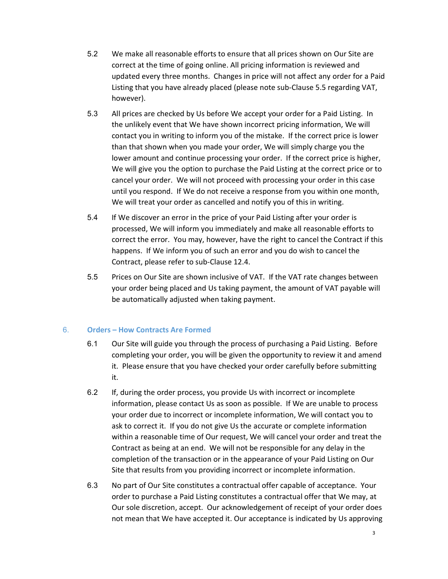- 5.2 We make all reasonable efforts to ensure that all prices shown on Our Site are correct at the time of going online. All pricing information is reviewed and updated every three months. Changes in price will not affect any order for a Paid Listing that you have already placed (please note sub-Clause 5.5 regarding VAT, however).
- 5.3 All prices are checked by Us before We accept your order for a Paid Listing. In the unlikely event that We have shown incorrect pricing information, We will contact you in writing to inform you of the mistake. If the correct price is lower than that shown when you made your order, We will simply charge you the lower amount and continue processing your order. If the correct price is higher, We will give you the option to purchase the Paid Listing at the correct price or to cancel your order. We will not proceed with processing your order in this case until you respond. If We do not receive a response from you within one month, We will treat your order as cancelled and notify you of this in writing.
- 5.4 If We discover an error in the price of your Paid Listing after your order is processed, We will inform you immediately and make all reasonable efforts to correct the error. You may, however, have the right to cancel the Contract if this happens. If We inform you of such an error and you do wish to cancel the Contract, please refer to sub-Clause 12.4.
- 5.5 Prices on Our Site are shown inclusive of VAT. If the VAT rate changes between your order being placed and Us taking payment, the amount of VAT payable will be automatically adjusted when taking payment.

# 6. Orders – How Contracts Are Formed

- 6.1 Our Site will guide you through the process of purchasing a Paid Listing. Before completing your order, you will be given the opportunity to review it and amend it. Please ensure that you have checked your order carefully before submitting it.
- 6.2 If, during the order process, you provide Us with incorrect or incomplete information, please contact Us as soon as possible. If We are unable to process your order due to incorrect or incomplete information, We will contact you to ask to correct it. If you do not give Us the accurate or complete information within a reasonable time of Our request, We will cancel your order and treat the Contract as being at an end. We will not be responsible for any delay in the completion of the transaction or in the appearance of your Paid Listing on Our Site that results from you providing incorrect or incomplete information.
- 6.3 No part of Our Site constitutes a contractual offer capable of acceptance. Your order to purchase a Paid Listing constitutes a contractual offer that We may, at Our sole discretion, accept. Our acknowledgement of receipt of your order does not mean that We have accepted it. Our acceptance is indicated by Us approving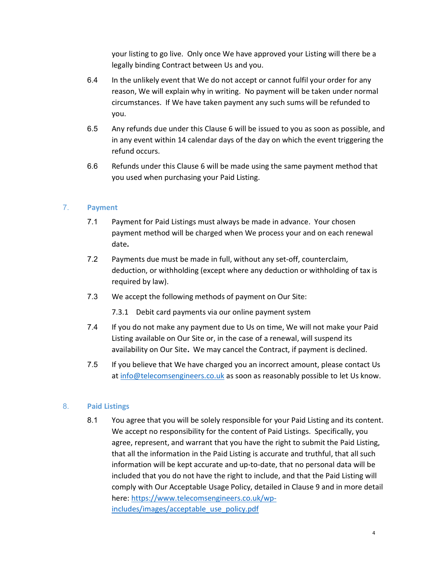your listing to go live. Only once We have approved your Listing will there be a legally binding Contract between Us and you.

- 6.4 In the unlikely event that We do not accept or cannot fulfil your order for any reason, We will explain why in writing. No payment will be taken under normal circumstances. If We have taken payment any such sums will be refunded to you.
- 6.5 Any refunds due under this Clause 6 will be issued to you as soon as possible, and in any event within 14 calendar days of the day on which the event triggering the refund occurs.
- 6.6 Refunds under this Clause 6 will be made using the same payment method that you used when purchasing your Paid Listing.

## 7. Payment

- 7.1 Payment for Paid Listings must always be made in advance. Your chosen payment method will be charged when We process your and on each renewal date.
- 7.2 Payments due must be made in full, without any set-off, counterclaim, deduction, or withholding (except where any deduction or withholding of tax is required by law).
- 7.3 We accept the following methods of payment on Our Site:
	- 7.3.1 Debit card payments via our online payment system
- 7.4 If you do not make any payment due to Us on time, We will not make your Paid Listing available on Our Site or, in the case of a renewal, will suspend its availability on Our Site. We may cancel the Contract, if payment is declined.
- 7.5 If you believe that We have charged you an incorrect amount, please contact Us at info@telecomsengineers.co.uk as soon as reasonably possible to let Us know.

#### 8. Paid Listings

8.1 You agree that you will be solely responsible for your Paid Listing and its content. We accept no responsibility for the content of Paid Listings. Specifically, you agree, represent, and warrant that you have the right to submit the Paid Listing, that all the information in the Paid Listing is accurate and truthful, that all such information will be kept accurate and up-to-date, that no personal data will be included that you do not have the right to include, and that the Paid Listing will comply with Our Acceptable Usage Policy, detailed in Clause 9 and in more detail here: https://www.telecomsengineers.co.uk/wpincludes/images/acceptable\_use\_policy.pdf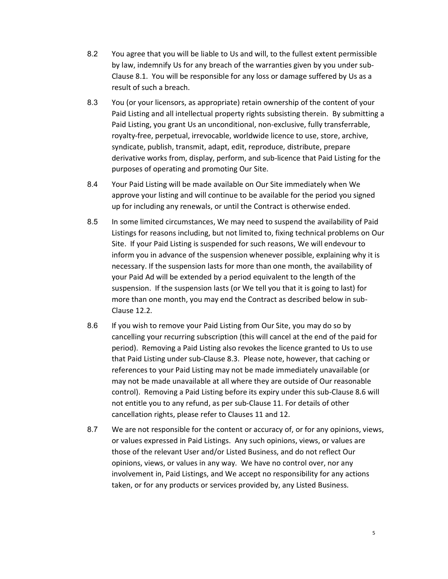- 8.2 You agree that you will be liable to Us and will, to the fullest extent permissible by law, indemnify Us for any breach of the warranties given by you under sub-Clause 8.1. You will be responsible for any loss or damage suffered by Us as a result of such a breach.
- 8.3 You (or your licensors, as appropriate) retain ownership of the content of your Paid Listing and all intellectual property rights subsisting therein. By submitting a Paid Listing, you grant Us an unconditional, non-exclusive, fully transferrable, royalty-free, perpetual, irrevocable, worldwide licence to use, store, archive, syndicate, publish, transmit, adapt, edit, reproduce, distribute, prepare derivative works from, display, perform, and sub-licence that Paid Listing for the purposes of operating and promoting Our Site.
- 8.4 Your Paid Listing will be made available on Our Site immediately when We approve your listing and will continue to be available for the period you signed up for including any renewals, or until the Contract is otherwise ended.
- 8.5 In some limited circumstances, We may need to suspend the availability of Paid Listings for reasons including, but not limited to, fixing technical problems on Our Site. If your Paid Listing is suspended for such reasons, We will endevour to inform you in advance of the suspension whenever possible, explaining why it is necessary. If the suspension lasts for more than one month, the availability of your Paid Ad will be extended by a period equivalent to the length of the suspension. If the suspension lasts (or We tell you that it is going to last) for more than one month, you may end the Contract as described below in sub-Clause 12.2.
- 8.6 If you wish to remove your Paid Listing from Our Site, you may do so by cancelling your recurring subscription (this will cancel at the end of the paid for period). Removing a Paid Listing also revokes the licence granted to Us to use that Paid Listing under sub-Clause 8.3. Please note, however, that caching or references to your Paid Listing may not be made immediately unavailable (or may not be made unavailable at all where they are outside of Our reasonable control). Removing a Paid Listing before its expiry under this sub-Clause 8.6 will not entitle you to any refund, as per sub-Clause 11. For details of other cancellation rights, please refer to Clauses 11 and 12.
- 8.7 We are not responsible for the content or accuracy of, or for any opinions, views, or values expressed in Paid Listings. Any such opinions, views, or values are those of the relevant User and/or Listed Business, and do not reflect Our opinions, views, or values in any way. We have no control over, nor any involvement in, Paid Listings, and We accept no responsibility for any actions taken, or for any products or services provided by, any Listed Business.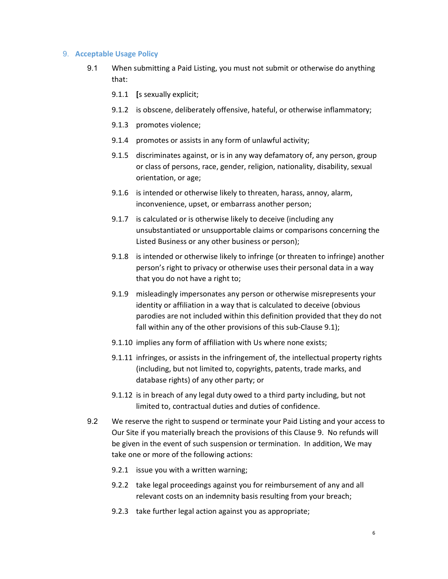#### 9. Acceptable Usage Policy

- 9.1 When submitting a Paid Listing, you must not submit or otherwise do anything that:
	- 9.1.1 [s sexually explicit;
	- 9.1.2 is obscene, deliberately offensive, hateful, or otherwise inflammatory;
	- 9.1.3 promotes violence;
	- 9.1.4 promotes or assists in any form of unlawful activity;
	- 9.1.5 discriminates against, or is in any way defamatory of, any person, group or class of persons, race, gender, religion, nationality, disability, sexual orientation, or age;
	- 9.1.6 is intended or otherwise likely to threaten, harass, annoy, alarm, inconvenience, upset, or embarrass another person;
	- 9.1.7 is calculated or is otherwise likely to deceive (including any unsubstantiated or unsupportable claims or comparisons concerning the Listed Business or any other business or person);
	- 9.1.8 is intended or otherwise likely to infringe (or threaten to infringe) another person's right to privacy or otherwise uses their personal data in a way that you do not have a right to;
	- 9.1.9 misleadingly impersonates any person or otherwise misrepresents your identity or affiliation in a way that is calculated to deceive (obvious parodies are not included within this definition provided that they do not fall within any of the other provisions of this sub-Clause 9.1);
	- 9.1.10 implies any form of affiliation with Us where none exists;
	- 9.1.11 infringes, or assists in the infringement of, the intellectual property rights (including, but not limited to, copyrights, patents, trade marks, and database rights) of any other party; or
	- 9.1.12 is in breach of any legal duty owed to a third party including, but not limited to, contractual duties and duties of confidence.
- 9.2 We reserve the right to suspend or terminate your Paid Listing and your access to Our Site if you materially breach the provisions of this Clause 9. No refunds will be given in the event of such suspension or termination. In addition, We may take one or more of the following actions:
	- 9.2.1 issue you with a written warning;
	- 9.2.2 take legal proceedings against you for reimbursement of any and all relevant costs on an indemnity basis resulting from your breach;
	- 9.2.3 take further legal action against you as appropriate;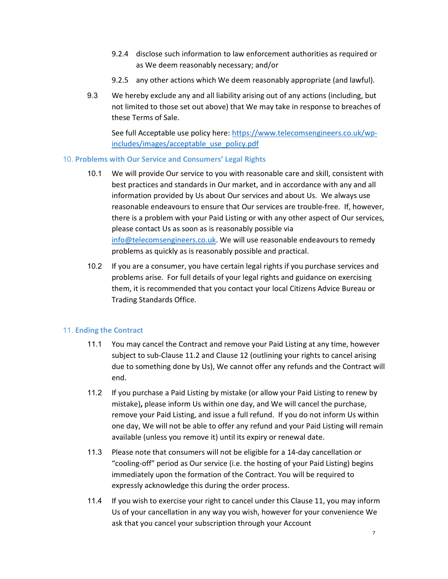- 9.2.4 disclose such information to law enforcement authorities as required or as We deem reasonably necessary; and/or
- 9.2.5 any other actions which We deem reasonably appropriate (and lawful).
- 9.3 We hereby exclude any and all liability arising out of any actions (including, but not limited to those set out above) that We may take in response to breaches of these Terms of Sale.

See full Acceptable use policy here: https://www.telecomsengineers.co.uk/wpincludes/images/acceptable\_use\_policy.pdf

## 10. Problems with Our Service and Consumers' Legal Rights

- 10.1 We will provide Our service to you with reasonable care and skill, consistent with best practices and standards in Our market, and in accordance with any and all information provided by Us about Our services and about Us. We always use reasonable endeavours to ensure that Our services are trouble-free. If, however, there is a problem with your Paid Listing or with any other aspect of Our services, please contact Us as soon as is reasonably possible via info@telecomsengineers.co.uk. We will use reasonable endeavours to remedy problems as quickly as is reasonably possible and practical.
- 10.2 If you are a consumer, you have certain legal rights if you purchase services and problems arise. For full details of your legal rights and guidance on exercising them, it is recommended that you contact your local Citizens Advice Bureau or Trading Standards Office.

# 11. Ending the Contract

- 11.1 You may cancel the Contract and remove your Paid Listing at any time, however subject to sub-Clause 11.2 and Clause 12 (outlining your rights to cancel arising due to something done by Us), We cannot offer any refunds and the Contract will end.
- 11.2 If you purchase a Paid Listing by mistake (or allow your Paid Listing to renew by mistake), please inform Us within one day, and We will cancel the purchase, remove your Paid Listing, and issue a full refund. If you do not inform Us within one day, We will not be able to offer any refund and your Paid Listing will remain available (unless you remove it) until its expiry or renewal date.
- 11.3 Please note that consumers will not be eligible for a 14-day cancellation or "cooling-off" period as Our service (i.e. the hosting of your Paid Listing) begins immediately upon the formation of the Contract. You will be required to expressly acknowledge this during the order process.
- 11.4 If you wish to exercise your right to cancel under this Clause 11, you may inform Us of your cancellation in any way you wish, however for your convenience We ask that you cancel your subscription through your Account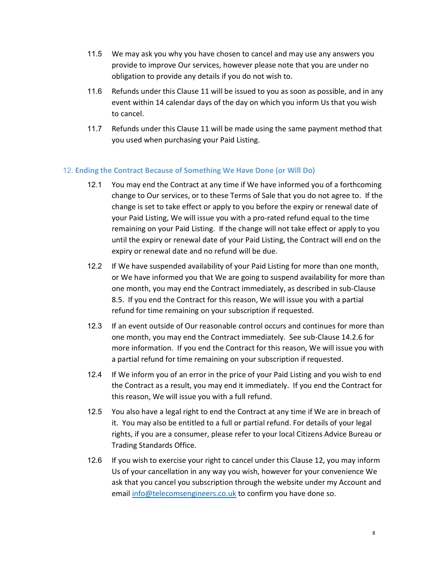- 11.5 We may ask you why you have chosen to cancel and may use any answers you provide to improve Our services, however please note that you are under no obligation to provide any details if you do not wish to.
- 11.6 Refunds under this Clause 11 will be issued to you as soon as possible, and in any event within 14 calendar days of the day on which you inform Us that you wish to cancel.
- 11.7 Refunds under this Clause 11 will be made using the same payment method that you used when purchasing your Paid Listing.

# 12. Ending the Contract Because of Something We Have Done (or Will Do)

- 12.1 You may end the Contract at any time if We have informed you of a forthcoming change to Our services, or to these Terms of Sale that you do not agree to. If the change is set to take effect or apply to you before the expiry or renewal date of your Paid Listing, We will issue you with a pro-rated refund equal to the time remaining on your Paid Listing. If the change will not take effect or apply to you until the expiry or renewal date of your Paid Listing, the Contract will end on the expiry or renewal date and no refund will be due.
- 12.2 If We have suspended availability of your Paid Listing for more than one month, or We have informed you that We are going to suspend availability for more than one month, you may end the Contract immediately, as described in sub-Clause 8.5. If you end the Contract for this reason, We will issue you with a partial refund for time remaining on your subscription if requested.
- 12.3 If an event outside of Our reasonable control occurs and continues for more than one month, you may end the Contract immediately. See sub-Clause 14.2.6 for more information. If you end the Contract for this reason, We will issue you with a partial refund for time remaining on your subscription if requested.
- 12.4 If We inform you of an error in the price of your Paid Listing and you wish to end the Contract as a result, you may end it immediately. If you end the Contract for this reason, We will issue you with a full refund.
- 12.5 You also have a legal right to end the Contract at any time if We are in breach of it. You may also be entitled to a full or partial refund. For details of your legal rights, if you are a consumer, please refer to your local Citizens Advice Bureau or Trading Standards Office.
- 12.6 If you wish to exercise your right to cancel under this Clause 12, you may inform Us of your cancellation in any way you wish, however for your convenience We ask that you cancel you subscription through the website under my Account and email info@telecomsengineers.co.uk to confirm you have done so.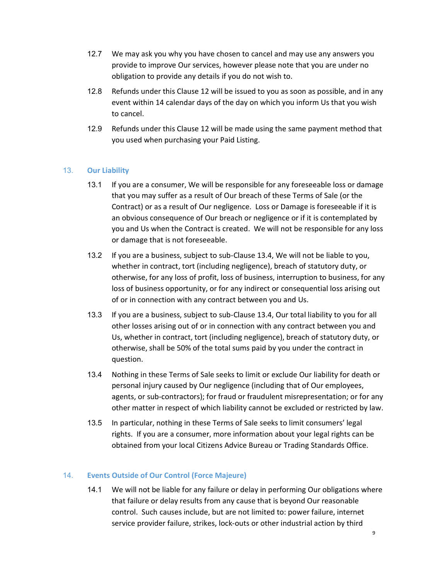- 12.7 We may ask you why you have chosen to cancel and may use any answers you provide to improve Our services, however please note that you are under no obligation to provide any details if you do not wish to.
- 12.8 Refunds under this Clause 12 will be issued to you as soon as possible, and in any event within 14 calendar days of the day on which you inform Us that you wish to cancel.
- 12.9 Refunds under this Clause 12 will be made using the same payment method that you used when purchasing your Paid Listing.

# 13. Our Liability

- 13.1 If you are a consumer, We will be responsible for any foreseeable loss or damage that you may suffer as a result of Our breach of these Terms of Sale (or the Contract) or as a result of Our negligence. Loss or Damage is foreseeable if it is an obvious consequence of Our breach or negligence or if it is contemplated by you and Us when the Contract is created. We will not be responsible for any loss or damage that is not foreseeable.
- 13.2 If you are a business, subject to sub-Clause 13.4, We will not be liable to you, whether in contract, tort (including negligence), breach of statutory duty, or otherwise, for any loss of profit, loss of business, interruption to business, for any loss of business opportunity, or for any indirect or consequential loss arising out of or in connection with any contract between you and Us.
- 13.3 If you are a business, subject to sub-Clause 13.4, Our total liability to you for all other losses arising out of or in connection with any contract between you and Us, whether in contract, tort (including negligence), breach of statutory duty, or otherwise, shall be 50% of the total sums paid by you under the contract in question.
- 13.4 Nothing in these Terms of Sale seeks to limit or exclude Our liability for death or personal injury caused by Our negligence (including that of Our employees, agents, or sub-contractors); for fraud or fraudulent misrepresentation; or for any other matter in respect of which liability cannot be excluded or restricted by law.
- 13.5 In particular, nothing in these Terms of Sale seeks to limit consumers' legal rights. If you are a consumer, more information about your legal rights can be obtained from your local Citizens Advice Bureau or Trading Standards Office.

# 14. Events Outside of Our Control (Force Majeure)

14.1 We will not be liable for any failure or delay in performing Our obligations where that failure or delay results from any cause that is beyond Our reasonable control. Such causes include, but are not limited to: power failure, internet service provider failure, strikes, lock-outs or other industrial action by third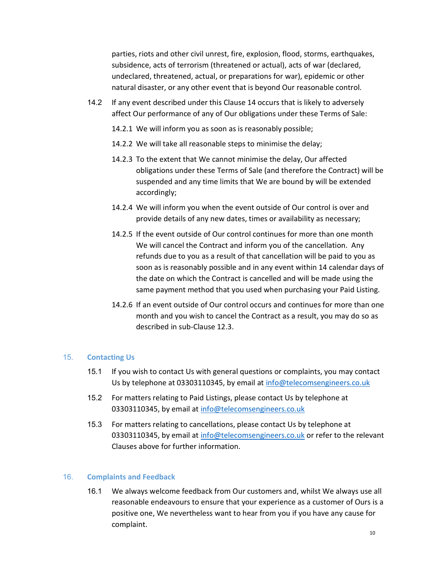parties, riots and other civil unrest, fire, explosion, flood, storms, earthquakes, subsidence, acts of terrorism (threatened or actual), acts of war (declared, undeclared, threatened, actual, or preparations for war), epidemic or other natural disaster, or any other event that is beyond Our reasonable control.

- 14.2 If any event described under this Clause 14 occurs that is likely to adversely affect Our performance of any of Our obligations under these Terms of Sale:
	- 14.2.1 We will inform you as soon as is reasonably possible;
	- 14.2.2 We will take all reasonable steps to minimise the delay;
	- 14.2.3 To the extent that We cannot minimise the delay, Our affected obligations under these Terms of Sale (and therefore the Contract) will be suspended and any time limits that We are bound by will be extended accordingly;
	- 14.2.4 We will inform you when the event outside of Our control is over and provide details of any new dates, times or availability as necessary;
	- 14.2.5 If the event outside of Our control continues for more than one month We will cancel the Contract and inform you of the cancellation. Any refunds due to you as a result of that cancellation will be paid to you as soon as is reasonably possible and in any event within 14 calendar days of the date on which the Contract is cancelled and will be made using the same payment method that you used when purchasing your Paid Listing.
	- 14.2.6 If an event outside of Our control occurs and continues for more than one month and you wish to cancel the Contract as a result, you may do so as described in sub-Clause 12.3.

#### 15. Contacting Us

- 15.1 If you wish to contact Us with general questions or complaints, you may contact Us by telephone at 03303110345, by email at info@telecomsengineers.co.uk
- 15.2 For matters relating to Paid Listings, please contact Us by telephone at 03303110345, by email at info@telecomsengineers.co.uk
- 15.3 For matters relating to cancellations, please contact Us by telephone at 03303110345, by email at info@telecomsengineers.co.uk or refer to the relevant Clauses above for further information.

# 16. Complaints and Feedback

16.1 We always welcome feedback from Our customers and, whilst We always use all reasonable endeavours to ensure that your experience as a customer of Ours is a positive one, We nevertheless want to hear from you if you have any cause for complaint.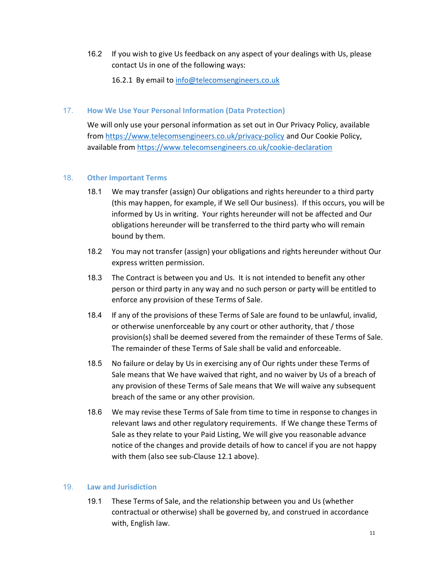16.2 If you wish to give Us feedback on any aspect of your dealings with Us, please contact Us in one of the following ways:

16.2.1 By email to info@telecomsengineers.co.uk

## 17. How We Use Your Personal Information (Data Protection)

We will only use your personal information as set out in Our Privacy Policy, available from https://www.telecomsengineers.co.uk/privacy-policy and Our Cookie Policy, available from https://www.telecomsengineers.co.uk/cookie-declaration

## 18. Other Important Terms

- 18.1 We may transfer (assign) Our obligations and rights hereunder to a third party (this may happen, for example, if We sell Our business). If this occurs, you will be informed by Us in writing. Your rights hereunder will not be affected and Our obligations hereunder will be transferred to the third party who will remain bound by them.
- 18.2 You may not transfer (assign) your obligations and rights hereunder without Our express written permission.
- 18.3 The Contract is between you and Us. It is not intended to benefit any other person or third party in any way and no such person or party will be entitled to enforce any provision of these Terms of Sale.
- 18.4 If any of the provisions of these Terms of Sale are found to be unlawful, invalid, or otherwise unenforceable by any court or other authority, that / those provision(s) shall be deemed severed from the remainder of these Terms of Sale. The remainder of these Terms of Sale shall be valid and enforceable.
- 18.5 No failure or delay by Us in exercising any of Our rights under these Terms of Sale means that We have waived that right, and no waiver by Us of a breach of any provision of these Terms of Sale means that We will waive any subsequent breach of the same or any other provision.
- 18.6 We may revise these Terms of Sale from time to time in response to changes in relevant laws and other regulatory requirements. If We change these Terms of Sale as they relate to your Paid Listing, We will give you reasonable advance notice of the changes and provide details of how to cancel if you are not happy with them (also see sub-Clause 12.1 above).

# 19. Law and Jurisdiction

19.1 These Terms of Sale, and the relationship between you and Us (whether contractual or otherwise) shall be governed by, and construed in accordance with, English law.